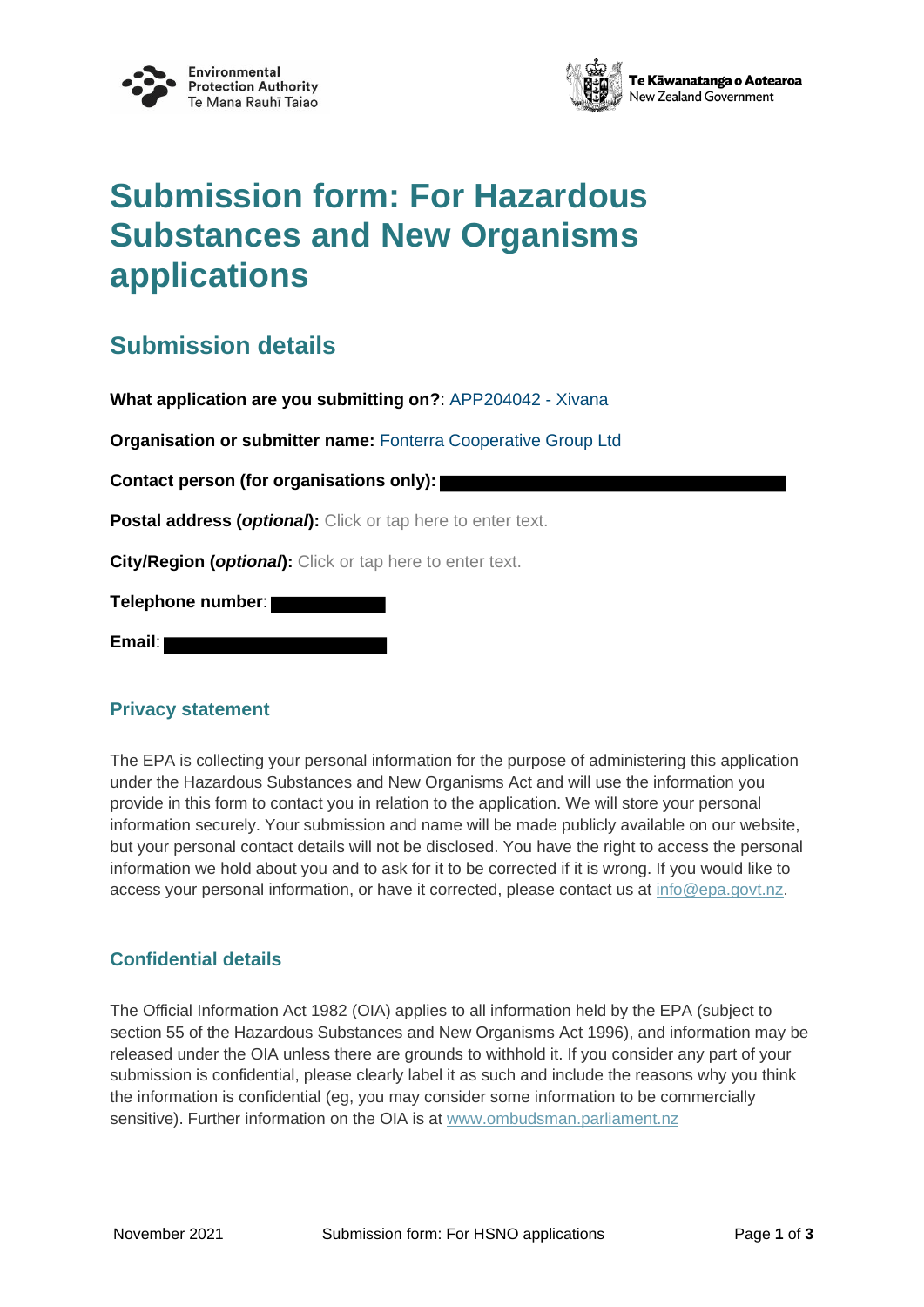



# **Submission form: For Hazardous Substances and New Organisms applications**

### **Submission details**

**What application are you submitting on?**: APP204042 - Xivana

**Organisation or submitter name:** Fonterra Cooperative Group Ltd

**Contact person (for organisations only):**

**Postal address (***optional***):** Click or tap here to enter text.

**City/Region (***optional***):** Click or tap here to enter text.

**Telephone number**:

**Email**:

### **Privacy statement**

The EPA is collecting your personal information for the purpose of administering this application under the Hazardous Substances and New Organisms Act and will use the information you provide in this form to contact you in relation to the application. We will store your personal information securely. Your submission and name will be made publicly available on our website, but your personal contact details will not be disclosed. You have the right to access the personal information we hold about you and to ask for it to be corrected if it is wrong. If you would like to access your personal information, or have it corrected, please contact us at info@epa.govt.nz.

### **Confidential details**

The Official Information Act 1982 (OIA) applies to all information held by the EPA (subject to section 55 of the Hazardous Substances and New Organisms Act 1996), and information may be released under the OIA unless there are grounds to withhold it. If you consider any part of your submission is confidential, please clearly label it as such and include the reasons why you think the information is confidential (eg, you may consider some information to be commercially sensitive). Further information on the OIA is at www.ombudsman.parliament.nz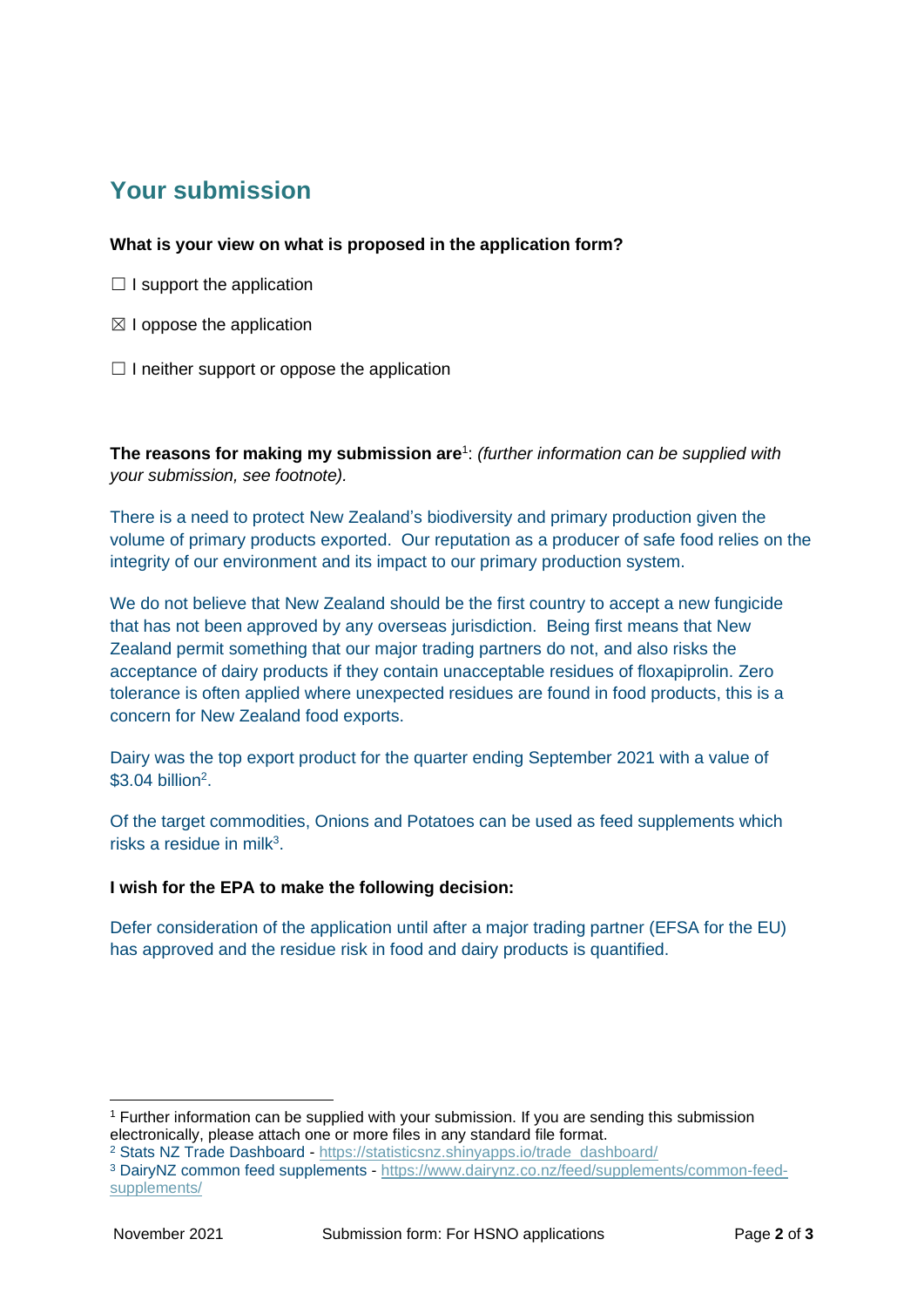## **Your submission**

### **What is your view on what is proposed in the application form?**

- $\Box$  I support the application
- $\boxtimes$  I oppose the application
- $\Box$  I neither support or oppose the application

**The reasons for making my submission are**<sup>1</sup> : *(further information can be supplied with your submission, see footnote).*

There is a need to protect New Zealand's biodiversity and primary production given the volume of primary products exported. Our reputation as a producer of safe food relies on the integrity of our environment and its impact to our primary production system.

We do not believe that New Zealand should be the first country to accept a new fungicide that has not been approved by any overseas jurisdiction. Being first means that New Zealand permit something that our major trading partners do not, and also risks the acceptance of dairy products if they contain unacceptable residues of floxapiprolin. Zero tolerance is often applied where unexpected residues are found in food products, this is a concern for New Zealand food exports.

Dairy was the top export product for the quarter ending September 2021 with a value of  $$3.04$  billion<sup>2</sup>.

Of the target commodities, Onions and Potatoes can be used as feed supplements which risks a residue in milk $3$ .

### **I wish for the EPA to make the following decision:**

Defer consideration of the application until after a major trading partner (EFSA for the EU) has approved and the residue risk in food and dairy products is quantified.

<sup>1</sup> Further information can be supplied with your submission. If you are sending this submission electronically, please attach one or more files in any standard file format.

<sup>2</sup> Stats NZ Trade Dashboard - https://statisticsnz.shinyapps.io/trade dashboard/

<sup>3</sup> DairyNZ common feed supplements - https://www.dairynz.co.nz/feed/supplements/common-feedsupplements/